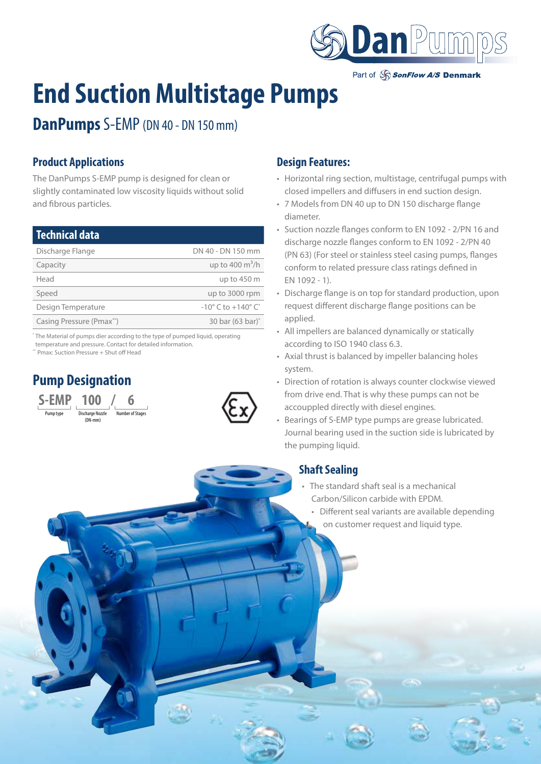

Part of SonFlow A/S Denmark

# **End Suction Multistage Pumps**

# **DanPumps** S-EMP (DN 40 - DN 150 mm)

## **Product Applications**

The DanPumps S-EMP pump is designed for clean or slightly contaminated low viscosity liquids without solid and fibrous particles.

| Technical data           |                                                  |
|--------------------------|--------------------------------------------------|
| Discharge Flange         | DN 40 - DN 150 mm                                |
| Capacity                 | up to 400 $\mathrm{m}^3/\mathrm{h}$              |
| Head                     | up to 450 m                                      |
| Speed                    | up to 3000 rpm                                   |
| Design Temperature       | $-10^{\circ}$ C to $+140^{\circ}$ C <sup>*</sup> |
| Casing Pressure (Pmax**) | 30 bar (63 bar) <sup>*</sup>                     |
|                          |                                                  |

\* The Material of pumps dier according to the type of pumped liquid, operating temperature and pressure. Contact for detailed information.

\*\* Pmax: Suction Pressure + Shut off Head

# **Pump Designation**





#### **Design Features:**

- Horizontal ring section, multistage, centrifugal pumps with closed impellers and diffusers in end suction design.
- 7 Models from DN 40 up to DN 150 discharge flange diameter.
- Suction nozzle flanges conform to EN 1092 2/PN 16 and discharge nozzle flanges conform to EN 1092 - 2/PN 40 (PN 63) (For steel or stainless steel casing pumps, flanges conform to related pressure class ratings defined in EN 1092 - 1).
- Discharge flange is on top for standard production, upon request different discharge flange positions can be applied.
- All impellers are balanced dynamically or statically according to ISO 1940 class 6.3.
- Axial thrust is balanced by impeller balancing holes system.
- Direction of rotation is always counter clockwise viewed from drive end. That is why these pumps can not be accouppled directly with diesel engines.
- Bearings of S-EMP type pumps are grease lubricated. Journal bearing used in the suction side is lubricated by the pumping liquid.

## **Shaft Sealing**

- The standard shaft seal is a mechanical Carbon/Silicon carbide with EPDM.
	- Different seal variants are available depending on customer request and liquid type.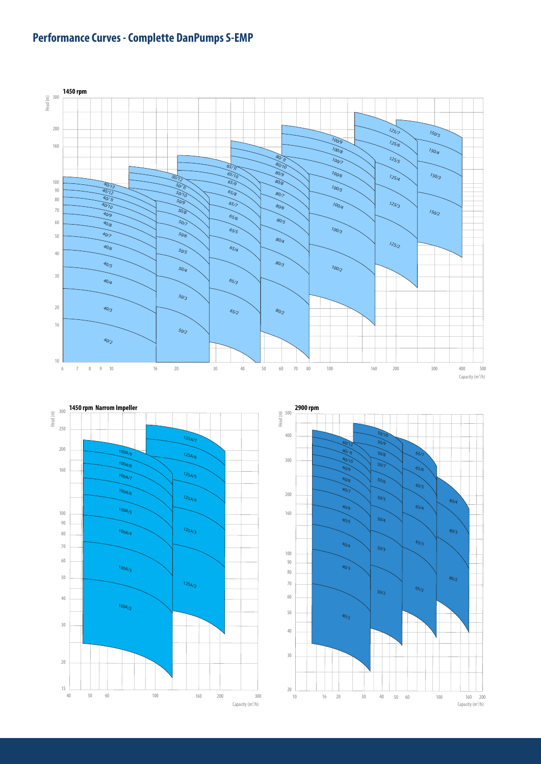# **Performance Curves - Complette DanPumps S-EMP**





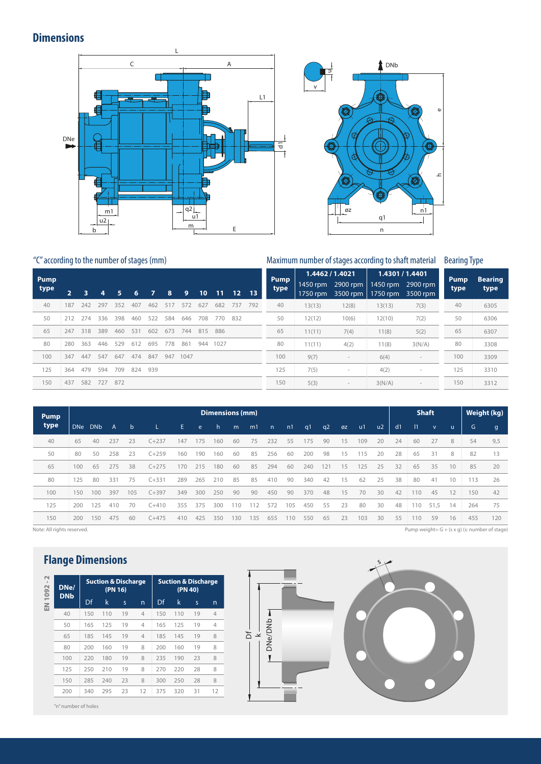#### **Dimensions**





#### "C" according to the number of stages (mm) Maximum number of stages according to shaft material Bearing Type

**Pump type <sup>2</sup> <sup>3</sup> <sup>4</sup> <sup>5</sup> <sup>6</sup> <sup>7</sup> <sup>8</sup> <sup>9</sup> <sup>10</sup> <sup>11</sup> <sup>12</sup> <sup>13</sup>** 40 187 242 297 352 407 462 517 572 627 682 737 792 50 212 274 336 398 460 522 584 646 708 770 832 65 247 318 389 460 531 602 673 744 815 886 80 280 363 446 529 612 695 778 861 944 1027 100 347 447 547 647 474 847 947 1047 125 364 479 594 709 824 939 150 437 582 727 872 **Pump type 1.4462 / 1.4021 1.4301 / 1.4401** 1450 rpm 2900 rpm 1750 rpm 3500 rpm 1450 rpm 2900 rpm 1750 rpm 3500 rpm 40 13(13) 12(8) 13(13) 7(3) 50 12(12) 10(6) 12(10) 7(2) 65 11(11) 7(4) 11(8) 5(2) 80 11(11) 4(2) 11(8) 3(N/A) 100 9(7) - 6(4) -125 7(5) - 4(2) - 150 5(3) - 3(N/A) -**Pump type Bearing type** 40 6305 50 6306 65 6307 80 3308 100 3309 125 3310 150 3312

| <b>Pump</b> |            | Dimensions (mm) |     |              |           |     |     |     |                 |     |              |     |     |     |    |     |    | <b>Shaft</b> | Weight (kg) |              |    |     |              |
|-------------|------------|-----------------|-----|--------------|-----------|-----|-----|-----|-----------------|-----|--------------|-----|-----|-----|----|-----|----|--------------|-------------|--------------|----|-----|--------------|
| type        | <b>DNe</b> | <b>DNb</b>      | A   | $\mathsf{b}$ |           | E.  | e   | h.  | m               | m1  | $\mathsf{n}$ | n1  | q1  | q2  | ØZ | u1  | u2 | d1           | $\vert$ 11  | $\mathbf{v}$ | u. | G   | $\mathsf{g}$ |
| 40          | 65         | 40              | 237 | 23           | $C + 237$ | 147 | 175 | 160 | 60              | 75  | 232          | 55  | 175 | 90  | 15 | 109 | 20 | 24           | 60          | 27           | 8  | 54  | 9,5          |
| 50          | 80         | 50              | 258 | 23           | $C + 259$ | 160 | 190 | 160 | 60              | 85  | 256          | 60  | 200 | 98  | 15 | 115 | 20 | 28           | 65          | 31           | 8  | 82  | 13           |
| 65          | 100        | 65              | 275 | 38           | $C + 275$ | 170 | 215 | 180 | 60              | 85  | 294          | 60  | 240 | 121 | 15 | 125 | 25 | 32           | 65          | 35           | 10 | 85  | 20           |
| 80          | 125        | 80              | 331 | 75           | $C + 331$ | 289 | 265 | 210 | 85              | 85  | 410          | 90  | 340 | 42  | 15 | 62  | 25 | 38           | 80          | 41           | 10 | 113 | 26           |
| 100         | 150        | 100             | 397 | 105          | $C + 397$ | 349 | 300 | 250 | 90              | 90  | 450          | 90  | 370 | 48  | 15 | 70  | 30 | 42           | 110         | 45           | 12 | 150 | 42           |
| 125         | 200        | 125             | 410 | 70           | $C + 410$ | 355 | 375 | 300 | 110             | 12  | 572          | 105 | 450 | 55  | 23 | 80  | 30 | 48           | 110         | 51.5         | 14 | 264 | 75           |
| 150         | 200        | 150             | 475 | 60           | $C + 475$ | 410 | 425 | 350 | 30 <sub>1</sub> | 135 | 655          | 110 | 550 | 65  | 23 | 103 | 30 | 55           | 110         | 59           | 16 | 455 | 120          |

Note: All rights reserved. Pump weight= G + (s x g) (s: number of stage)

#### **Flange Dimensions**

| $\sim$<br>$\mathbf{I}$<br>1092 | DNe/<br><b>DNb</b> |     | <b>Suction &amp; Discharge</b><br>(PN 16) |                         |                | <b>Suction &amp; Discharge</b><br>(PN 40) |     |    |    |  |  |  |  |
|--------------------------------|--------------------|-----|-------------------------------------------|-------------------------|----------------|-------------------------------------------|-----|----|----|--|--|--|--|
| $\mathbb{E}$                   |                    | Df  | k                                         | $\overline{\mathsf{S}}$ | n              | Df                                        | k   | S  | n  |  |  |  |  |
|                                | 40                 | 150 | 110                                       | 19                      | $\overline{4}$ | 150                                       | 110 | 19 | 4  |  |  |  |  |
|                                | 50                 | 165 | 125                                       | 19                      | $\overline{4}$ | 165                                       | 125 | 19 | 4  |  |  |  |  |
|                                | 65                 | 185 | 145                                       | 19                      | $\overline{4}$ | 185                                       | 145 | 19 | 8  |  |  |  |  |
|                                | 80                 | 200 | 160                                       | 19                      | 8              | 200                                       | 160 | 19 | 8  |  |  |  |  |
|                                | 100                | 220 | 180                                       | 19                      | 8              | 235                                       | 190 | 23 | 8  |  |  |  |  |
|                                | 125                | 250 | 210                                       | 19                      | 8              | 270                                       | 220 | 28 | 8  |  |  |  |  |
|                                | 150                | 285 | 240                                       | 23                      | 8              | 300                                       | 250 | 28 | 8  |  |  |  |  |
|                                | 200                | 340 | 295                                       | 23                      | 12             | 375                                       | 320 | 31 | 12 |  |  |  |  |



"n" number of holes